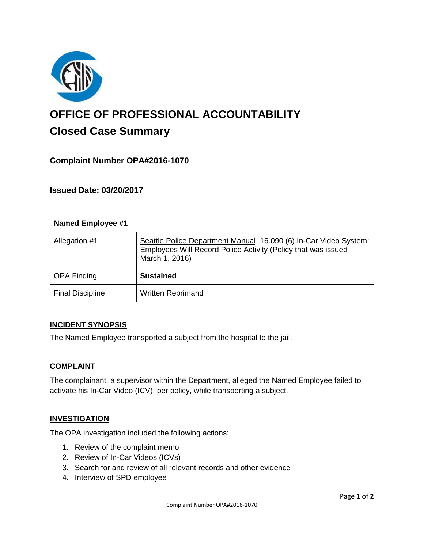

# **OFFICE OF PROFESSIONAL ACCOUNTABILITY Closed Case Summary**

## **Complaint Number OPA#2016-1070**

**Issued Date: 03/20/2017**

| <b>Named Employee #1</b> |                                                                                                                                                     |
|--------------------------|-----------------------------------------------------------------------------------------------------------------------------------------------------|
| Allegation #1            | Seattle Police Department Manual 16.090 (6) In-Car Video System:<br>Employees Will Record Police Activity (Policy that was issued<br>March 1, 2016) |
| <b>OPA Finding</b>       | <b>Sustained</b>                                                                                                                                    |
| <b>Final Discipline</b>  | <b>Written Reprimand</b>                                                                                                                            |

#### **INCIDENT SYNOPSIS**

The Named Employee transported a subject from the hospital to the jail.

#### **COMPLAINT**

The complainant, a supervisor within the Department, alleged the Named Employee failed to activate his In-Car Video (ICV), per policy, while transporting a subject.

#### **INVESTIGATION**

The OPA investigation included the following actions:

- 1. Review of the complaint memo
- 2. Review of In-Car Videos (ICVs)
- 3. Search for and review of all relevant records and other evidence
- 4. Interview of SPD employee